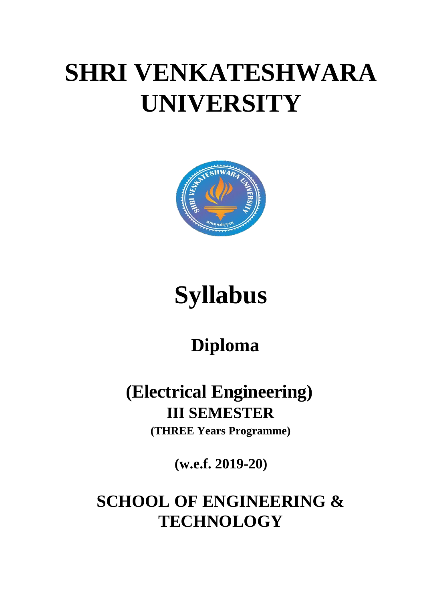# **SHRI VENKATESHWARA UNIVERSITY**



# **Syllabus**

## **Diploma**

### **(Electrical Engineering) III SEMESTER (THREE Years Programme)**

**(w.e.f. 2019-20)**

**SCHOOL OF ENGINEERING & TECHNOLOGY**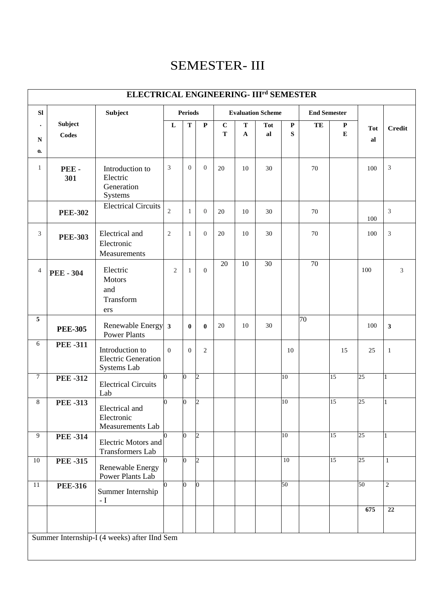### SEMESTER- III

|                                        | ELECTRICAL ENGINEERING- III <sup>rd</sup> SEMESTER |                                                              |                         |                |                |                  |        |                          |                |                     |                 |           |                 |
|----------------------------------------|----------------------------------------------------|--------------------------------------------------------------|-------------------------|----------------|----------------|------------------|--------|--------------------------|----------------|---------------------|-----------------|-----------|-----------------|
| SI                                     |                                                    | Subject                                                      | <b>Periods</b>          |                |                |                  |        | <b>Evaluation Scheme</b> |                | <b>End Semester</b> |                 |           |                 |
| $\bullet$<br>${\bf N}$<br>$\mathbf{0}$ | Subject<br><b>Codes</b>                            |                                                              | $\mathbf L$             | $\mathbf T$    | $\mathbf P$    | $\mathbf C$<br>T | T<br>A | <b>Tot</b><br>al         | ${\bf P}$<br>S | TE                  | ${\bf P}$<br>E  | Tot<br>al | <b>Credit</b>   |
| $\mathbf{1}$                           | PEE-<br>301                                        | Introduction to<br>Electric<br>Generation<br>Systems         | 3                       | $\overline{0}$ | $\overline{0}$ | 20               | 10     | 30                       |                | 70                  |                 | 100       | $\mathfrak{Z}$  |
|                                        | <b>PEE-302</b>                                     | <b>Electrical Circuits</b>                                   | $\overline{2}$          | $\mathbf{1}$   | $\overline{0}$ | 20               | 10     | 30                       |                | 70                  |                 | 100       | 3               |
| 3                                      | <b>PEE-303</b>                                     | Electrical and<br>Electronic<br>Measurements                 | $\overline{2}$          | $\mathbf{1}$   | $\overline{0}$ | 20               | 10     | 30                       |                | 70                  |                 | 100       | 3               |
| $\overline{4}$                         | <b>PEE - 304</b>                                   | Electric<br><b>Motors</b><br>and<br>Transform<br>ers         | $\overline{2}$          | $\mathbf{1}$   | $\overline{0}$ | 20               | 10     | 30                       |                | $\overline{70}$     |                 | 100       | 3               |
| $\overline{5}$                         | <b>PEE-305</b>                                     | Renewable Energy<br><b>Power Plants</b>                      | $\overline{\mathbf{3}}$ | $\bf{0}$       | $\bf{0}$       | 20               | 10     | 30                       |                | $\overline{70}$     |                 | 100       | $\mathbf{3}$    |
| $\sqrt{6}$                             | <b>PEE-311</b>                                     | Introduction to<br><b>Electric Generation</b><br>Systems Lab | $\overline{0}$          | $\mathbf{0}$   | $\overline{2}$ |                  |        |                          | 10             |                     | 15              | 25        | 1               |
| $\overline{7}$                         | <b>PEE-312</b>                                     | <b>Electrical Circuits</b><br>Lab                            | 0                       | $\overline{0}$ | $\overline{c}$ |                  |        |                          | 10             |                     | $\overline{15}$ | 25        | 1               |
| $8\,$                                  | <b>PEE-313</b>                                     | Electrical and<br>Electronic<br>Measurements Lab             | 0                       | $\bf{0}$       | $\overline{c}$ |                  |        |                          | 10             |                     | 15              | 25        |                 |
| 9                                      | <b>PEE-314</b>                                     | Electric Motors and<br><b>Transformers Lab</b>               |                         | $\bf{0}$       | $\overline{c}$ |                  |        |                          | 10             |                     | 15              | 25        |                 |
| $\overline{10}$                        | <b>PEE-315</b>                                     | Renewable Energy<br>Power Plants Lab                         |                         | $\overline{0}$ | $\overline{2}$ |                  |        |                          | 10             |                     | 15              | 25        | $\mathbf{1}$    |
| $11\,$                                 | <b>PEE-316</b>                                     | Summer Internship<br>$-I$                                    | $\Omega$                | $\bf{0}$       | 0              |                  |        |                          | 50             |                     |                 | 50        | $\overline{2}$  |
|                                        |                                                    |                                                              |                         |                |                |                  |        |                          |                |                     |                 | 675       | $\overline{22}$ |
|                                        |                                                    | Summer Internship-I (4 weeks) after IInd Sem                 |                         |                |                |                  |        |                          |                |                     |                 |           |                 |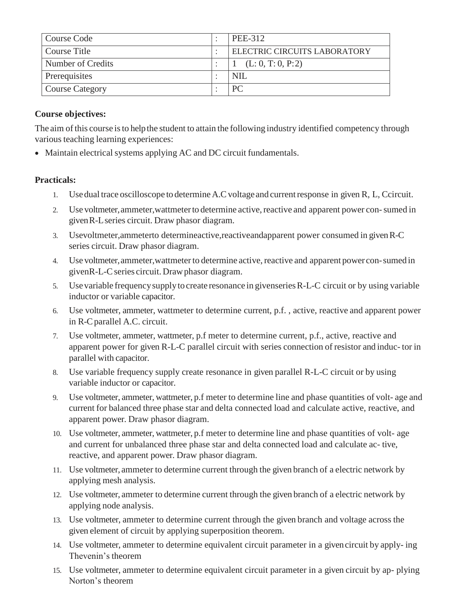| Course Code            | PEE-312                      |
|------------------------|------------------------------|
| Course Title           | ELECTRIC CIRCUITS LABORATORY |
| Number of Credits      | (L: 0, T: 0, P: 2)           |
| Prerequisites          | <b>NIL</b>                   |
| <b>Course Category</b> | РC                           |

The aim of this course is to help the student to attain the following industry identified competency through various teaching learning experiences:

• Maintain electrical systems applying AC and DC circuit fundamentals.

#### **Practicals:**

- 1. Usedual trace oscilloscope to determineA.Cvoltageand currentresponse in given R, L, Ccircuit.
- 2. Use voltmeter, ammeter, wat tmeter to determine active, reactive and apparent power con-sumed in givenR-Lseries circuit. Draw phasor diagram.
- 3. Usevoltmeter,ammeterto determineactive,reactiveandapparent power consumed in givenR-C series circuit. Draw phasor diagram.
- 4. Use voltmeter, ammeter, wat tmeter to determine active, reactive and apparent power con-sumed in givenR-L-Cseries circuit. Drawphasor diagram.
- 5. Usevariable frequencysupplyto create resonance in givenseriesR-L-C circuit or by using variable inductor or variable capacitor.
- 6. Use voltmeter, ammeter, wattmeter to determine current, p.f. , active, reactive and apparent power in R-Cparallel A.C. circuit.
- 7. Use voltmeter, ammeter, wattmeter, p.f meter to determine current, p.f., active, reactive and apparent power for given R-L-C parallel circuit with series connection of resistor and induc- tor in parallel with capacitor.
- 8. Use variable frequency supply create resonance in given parallel R-L-C circuit or by using variable inductor or capacitor.
- 9. Use voltmeter, ammeter, wattmeter, p.f meter to determine line and phase quantities of volt- age and current for balanced three phase star and delta connected load and calculate active, reactive, and apparent power. Draw phasor diagram.
- 10. Use voltmeter, ammeter, wattmeter, p.f meter to determine line and phase quantities of volt- age and current for unbalanced three phase star and delta connected load and calculate ac- tive, reactive, and apparent power. Draw phasor diagram.
- 11. Use voltmeter, ammeter to determine current through the given branch of a electric network by applying mesh analysis.
- 12. Use voltmeter, ammeter to determine current through the given branch of a electric network by applying node analysis.
- 13. Use voltmeter, ammeter to determine current through the given branch and voltage across the given element of circuit by applying superposition theorem.
- 14. Use voltmeter, ammeter to determine equivalent circuit parameter in a givencircuit by apply- ing Thevenin's theorem
- 15. Use voltmeter, ammeter to determine equivalent circuit parameter in a given circuit by ap- plying Norton's theorem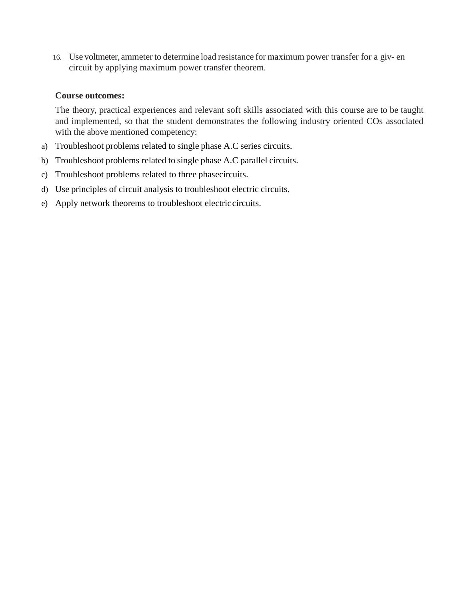16. Use voltmeter, ammeter to determine load resistance for maximum power transfer for a giv- en circuit by applying maximum power transfer theorem.

#### **Course outcomes:**

- a) Troubleshoot problems related to single phase A.C series circuits.
- b) Troubleshoot problems related to single phase A.C parallel circuits.
- c) Troubleshoot problems related to three phasecircuits.
- d) Use principles of circuit analysis to troubleshoot electric circuits.
- e) Apply network theorems to troubleshoot electriccircuits.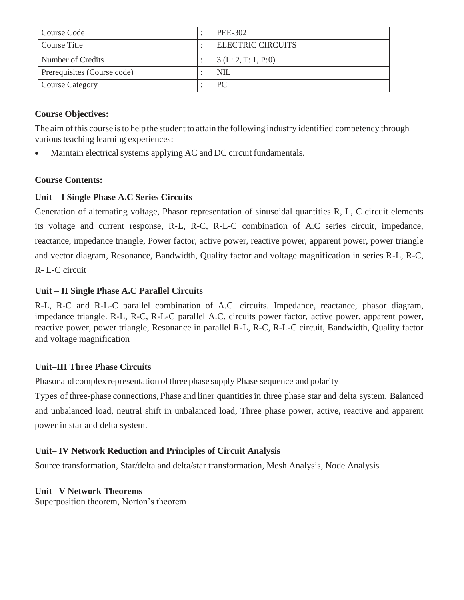| Course Code                 | PEE-302                      |
|-----------------------------|------------------------------|
| Course Title                | <b>ELECTRIC CIRCUITS</b>     |
| Number of Credits           | $\vert 3(L:2,T:1,P:0) \vert$ |
| Prerequisites (Course code) | <b>NIL</b>                   |
| <b>Course Category</b>      | PC                           |

The aim of this course is to help the student to attain the following industry identified competency through various teaching learning experiences:

Maintain electrical systems applying AC and DC circuit fundamentals.

#### **Course Contents:**

#### **Unit – I Single Phase A.C Series Circuits**

Generation of alternating voltage, Phasor representation of sinusoidal quantities R, L, C circuit elements its voltage and current response, R-L, R-C, R-L-C combination of A.C series circuit, impedance, reactance, impedance triangle, Power factor, active power, reactive power, apparent power, power triangle and vector diagram, Resonance, Bandwidth, Quality factor and voltage magnification in series R-L, R-C, R- L-C circuit

#### **Unit – II Single Phase A.C Parallel Circuits**

R-L, R-C and R-L-C parallel combination of A.C. circuits. Impedance, reactance, phasor diagram, impedance triangle. R-L, R-C, R-L-C parallel A.C. circuits power factor, active power, apparent power, reactive power, power triangle, Resonance in parallel R-L, R-C, R-L-C circuit, Bandwidth, Quality factor and voltage magnification

#### **Unit–III Three Phase Circuits**

Phasor and complex representation of three phase supply Phase sequence and polarity

Types of three-phase connections, Phase and liner quantitiesin three phase star and delta system, Balanced and unbalanced load, neutral shift in unbalanced load, Three phase power, active, reactive and apparent power in star and delta system.

#### **Unit– IV Network Reduction and Principles of Circuit Analysis**

Source transformation, Star/delta and delta/star transformation, Mesh Analysis, Node Analysis

#### **Unit– V Network Theorems**

Superposition theorem, Norton's theorem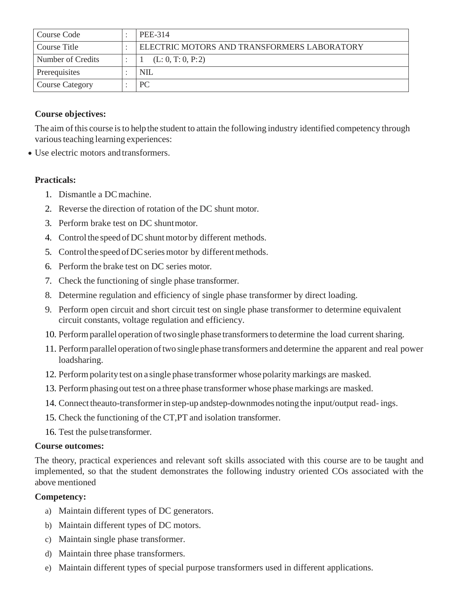| Course Code            | PEE-314                                     |
|------------------------|---------------------------------------------|
| Course Title           | ELECTRIC MOTORS AND TRANSFORMERS LABORATORY |
| Number of Credits      | (L: 0, T: 0, P: 2)                          |
| Prerequisites          | NIL                                         |
| <b>Course Category</b> | <b>PC</b>                                   |

The aim of this course is to help the student to attain the following industry identified competency through various teaching learning experiences:

• Use electric motors and transformers.

#### **Practicals:**

- 1. Dismantle a DCmachine.
- 2. Reverse the direction of rotation of the DC shunt motor.
- 3. Perform brake test on DC shuntmotor.
- 4. Control the speed of DC shunt motor by different methods.
- 5. Control the speed of DC series motor by different methods.
- 6. Perform the brake test on DC series motor.
- 7. Check the functioning of single phase transformer.
- 8. Determine regulation and efficiency of single phase transformer by direct loading.
- 9. Perform open circuit and short circuit test on single phase transformer to determine equivalent circuit constants, voltage regulation and efficiency.
- 10. Perform parallel operation of two single phase transformers to determine the load current sharing.
- 11. Performparallel operation oftwo single phase transformers and determine the apparent and real power loadsharing.
- 12. Performpolarity test on a single phase transformer whose polaritymarkings are masked.
- 13. Performphasing out test on a three phase transformer whose phasemarkings are masked.
- 14. Connecttheauto-transformerinstep-up andstep-downmodes noting the input/output read- ings.
- 15. Check the functioning of the CT,PT and isolation transformer.
- 16. Test the pulse transformer.

#### **Course outcomes:**

The theory, practical experiences and relevant soft skills associated with this course are to be taught and implemented, so that the student demonstrates the following industry oriented COs associated with the above mentioned

#### **Competency:**

- a) Maintain different types of DC generators.
- b) Maintain different types of DC motors.
- c) Maintain single phase transformer.
- d) Maintain three phase transformers.
- e) Maintain different types of special purpose transformers used in different applications.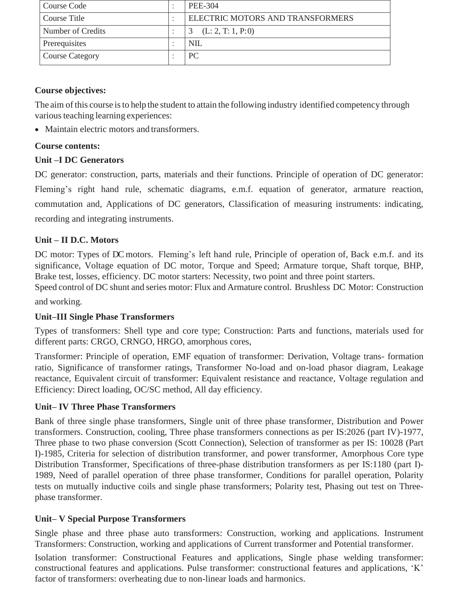| Course Code            | PEE-304                          |
|------------------------|----------------------------------|
| Course Title           | ELECTRIC MOTORS AND TRANSFORMERS |
| Number of Credits      | (L: 2, T: 1, P: 0)               |
| Prerequisites          | <b>NIL</b>                       |
| <b>Course Category</b> | PC.                              |

The aim of this course isto help the student to attain the following industry identified competency through various teaching learning experiences:

• Maintain electric motors and transformers.

#### **Course contents:**

#### **Unit –I DC Generators**

DC generator: construction, parts, materials and their functions. Principle of operation of DC generator: Fleming's right hand rule, schematic diagrams, e.m.f. equation of generator, armature reaction, commutation and, Applications of DC generators, Classification of measuring instruments: indicating, recording and integrating instruments.

#### **Unit – II D.C. Motors**

DC motor: Types of DC motors. Fleming's left hand rule, Principle of operation of, Back e.m.f. and its significance, Voltage equation of DC motor, Torque and Speed; Armature torque, Shaft torque, BHP, Brake test, losses, efficiency. DC motor starters: Necessity, two point and three point starters.

Speed control of DC shunt and series motor: Flux and Armature control. Brushless DC Motor: Construction

and working.

#### **Unit–III Single Phase Transformers**

Types of transformers: Shell type and core type; Construction: Parts and functions, materials used for different parts: CRGO, CRNGO, HRGO, amorphous cores,

Transformer: Principle of operation, EMF equation of transformer: Derivation, Voltage trans- formation ratio, Significance of transformer ratings, Transformer No-load and on-load phasor diagram, Leakage reactance, Equivalent circuit of transformer: Equivalent resistance and reactance, Voltage regulation and Efficiency: Direct loading, OC/SC method, All day efficiency.

#### **Unit– IV Three Phase Transformers**

Bank of three single phase transformers, Single unit of three phase transformer, Distribution and Power transformers. Construction, cooling, Three phase transformers connections as per IS:2026 (part IV)-1977, Three phase to two phase conversion (Scott Connection), Selection of transformer as per IS: 10028 (Part I)-1985, Criteria for selection of distribution transformer, and power transformer, Amorphous Core type Distribution Transformer, Specifications of three-phase distribution transformers as per IS:1180 (part I)- 1989, Need of parallel operation of three phase transformer, Conditions for parallel operation, Polarity tests on mutually inductive coils and single phase transformers; Polarity test, Phasing out test on Threephase transformer.

#### **Unit– V Special Purpose Transformers**

Single phase and three phase auto transformers: Construction, working and applications. Instrument Transformers: Construction, working and applications of Current transformer and Potential transformer.

Isolation transformer: Constructional Features and applications, Single phase welding transformer: constructional features and applications. Pulse transformer: constructional features and applications, 'K' factor of transformers: overheating due to non-linear loads and harmonics.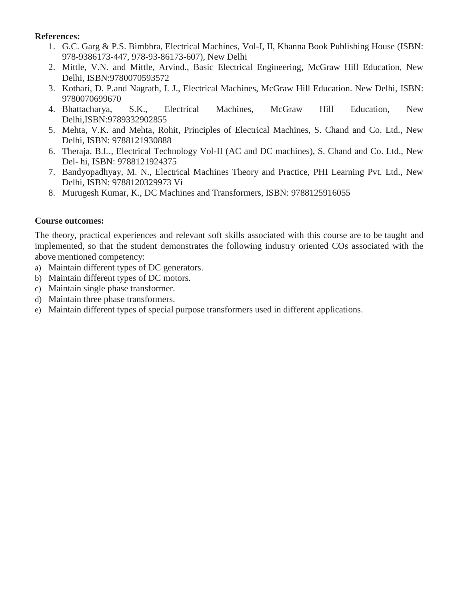#### **References:**

- 1. G.C. Garg & P.S. Bimbhra, Electrical Machines, Vol-I, II, Khanna Book Publishing House (ISBN: 978-9386173-447, 978-93-86173-607), New Delhi
- 2. Mittle, V.N. and Mittle, Arvind., Basic Electrical Engineering, McGraw Hill Education, New Delhi, ISBN:9780070593572
- 3. Kothari, D. P.and Nagrath, I. J., Electrical Machines, McGraw Hill Education. New Delhi, ISBN: 9780070699670
- 4. Bhattacharya, S.K., Electrical Machines, McGraw Hill Education, New Delhi,ISBN:9789332902855
- 5. Mehta, V.K. and Mehta, Rohit, Principles of Electrical Machines, S. Chand and Co. Ltd., New Delhi, ISBN: 9788121930888
- 6. Theraja, B.L., Electrical Technology Vol-II (AC and DC machines), S. Chand and Co. Ltd., New Del- hi, ISBN: 9788121924375
- 7. Bandyopadhyay, M. N., Electrical Machines Theory and Practice, PHI Learning Pvt. Ltd., New Delhi, ISBN: 9788120329973 Vi
- 8. Murugesh Kumar, K., DC Machines and Transformers, ISBN: 9788125916055

#### **Course outcomes:**

- a) Maintain different types of DC generators.
- b) Maintain different types of DC motors.
- c) Maintain single phase transformer.
- d) Maintain three phase transformers.
- e) Maintain different types of special purpose transformers used in different applications.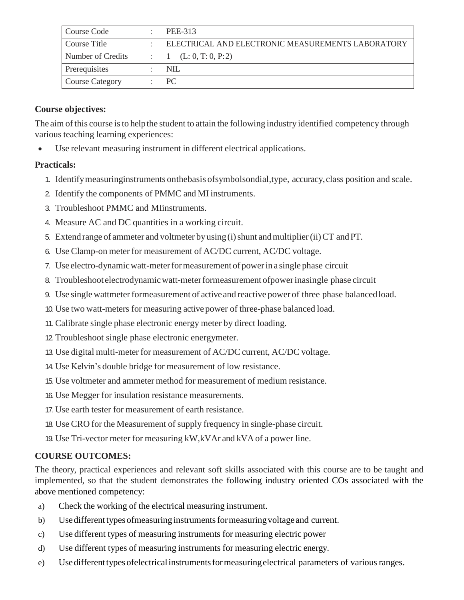| Course Code            | PEE-313                                           |
|------------------------|---------------------------------------------------|
| Course Title           | ELECTRICAL AND ELECTRONIC MEASUREMENTS LABORATORY |
| Number of Credits      | (L: 0, T: 0, P: 2)                                |
| Prerequisites          | <b>NIL</b>                                        |
| <b>Course Category</b> | PС                                                |

The aim of this course is to help the student to attain the following industry identified competency through various teaching learning experiences:

Use relevant measuring instrument in different electrical applications.

#### **Practicals:**

- 1. Identifymeasuringinstruments onthebasis ofsymbolsondial,type, accuracy,class position and scale.
- 2. Identify the components of PMMC and MI instruments.
- 3. Troubleshoot PMMC and MIinstruments.
- 4. Measure AC and DC quantities in a working circuit.
- 5. Extend range of ammeter and voltmeter by using (i) shunt and multiplier (ii) CT and PT.
- 6. Use Clamp-on meter for measurement of AC/DC current, AC/DC voltage.
- 7. Use electro-dynamicwatt-meterformeasurement of powerin a single phase circuit
- 8. Troubleshoot electrodynamic watt-meter formeasurement of power inasingle phase circuit
- 9. Use single wattmeter formeasurement of active and reactive power of three phase balanced load.
- 10. Use two watt-meters for measuring active power of three-phase balanced load.
- 11.Calibrate single phase electronic energy meter by direct loading.
- 12.Troubleshoot single phase electronic energymeter.
- 13. Use digital multi-meter for measurement of AC/DC current, AC/DC voltage.
- 14. Use Kelvin's double bridge for measurement of low resistance.
- 15. Use voltmeter and ammeter method for measurement of medium resistance.
- 16. Use Megger for insulation resistance measurements.
- 17. Use earth tester for measurement of earth resistance.
- 18. Use CRO for the Measurement of supply frequency in single-phase circuit.
- 19. Use Tri-vector meter for measuring kW,kVAr and kVA of a power line.

#### **COURSE OUTCOMES:**

- a) Check the working of the electrical measuring instrument.
- b) Use different types of measuring instruments for measuring voltage and current.
- c) Use different types of measuring instruments for measuring electric power
- d) Use different types of measuring instruments for measuring electric energy.
- e) Use different types of electrical instruments for measuring electrical parameters of various ranges.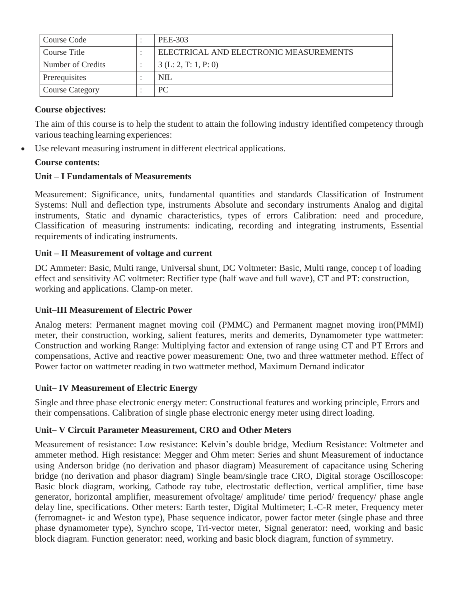| Course Code       | PEE-303                                |
|-------------------|----------------------------------------|
| Course Title      | ELECTRICAL AND ELECTRONIC MEASUREMENTS |
| Number of Credits | 3(L: 2, T: 1, P: 0)                    |
| Prerequisites     | <b>NIL</b>                             |
| Course Category   | PC                                     |

The aim of this course is to help the student to attain the following industry identified competency through various teaching learning experiences:

Use relevant measuring instrument in different electrical applications.

#### **Course contents:**

#### **Unit – I Fundamentals of Measurements**

Measurement: Significance, units, fundamental quantities and standards Classification of Instrument Systems: Null and deflection type, instruments Absolute and secondary instruments Analog and digital instruments, Static and dynamic characteristics, types of errors Calibration: need and procedure, Classification of measuring instruments: indicating, recording and integrating instruments, Essential requirements of indicating instruments.

#### **Unit – II Measurement of voltage and current**

DC Ammeter: Basic, Multi range, Universal shunt, DC Voltmeter: Basic, Multi range, concep t of loading effect and sensitivity AC voltmeter: Rectifier type (half wave and full wave), CT and PT: construction, working and applications. Clamp-on meter.

#### **Unit–III Measurement of Electric Power**

Analog meters: Permanent magnet moving coil (PMMC) and Permanent magnet moving iron(PMMI) meter, their construction, working, salient features, merits and demerits, Dynamometer type wattmeter: Construction and working Range: Multiplying factor and extension of range using CT and PT Errors and compensations, Active and reactive power measurement: One, two and three wattmeter method. Effect of Power factor on wattmeter reading in two wattmeter method, Maximum Demand indicator

#### **Unit– IV Measurement of Electric Energy**

Single and three phase electronic energy meter: Constructional features and working principle, Errors and their compensations. Calibration of single phase electronic energy meter using direct loading.

#### **Unit– V Circuit Parameter Measurement, CRO and Other Meters**

Measurement of resistance: Low resistance: Kelvin's double bridge, Medium Resistance: Voltmeter and ammeter method. High resistance: Megger and Ohm meter: Series and shunt Measurement of inductance using Anderson bridge (no derivation and phasor diagram) Measurement of capacitance using Schering bridge (no derivation and phasor diagram) Single beam/single trace CRO, Digital storage Oscilloscope: Basic block diagram, working, Cathode ray tube, electrostatic deflection, vertical amplifier, time base generator, horizontal amplifier, measurement ofvoltage/ amplitude/ time period/ frequency/ phase angle delay line, specifications. Other meters: Earth tester, Digital Multimeter; L-C-R meter, Frequency meter (ferromagnet- ic and Weston type), Phase sequence indicator, power factor meter (single phase and three phase dynamometer type), Synchro scope, Tri-vector meter, Signal generator: need, working and basic block diagram. Function generator: need, working and basic block diagram, function of symmetry.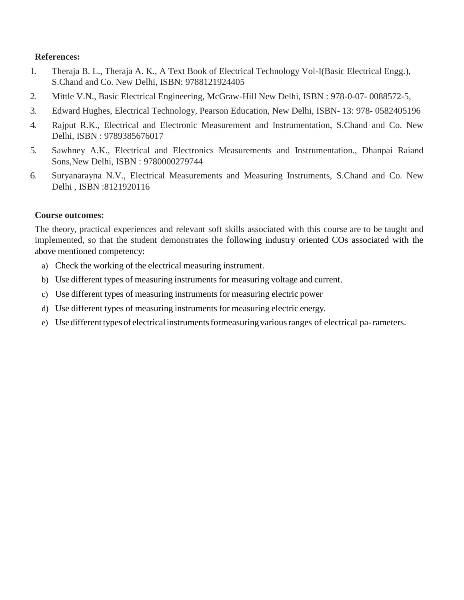#### **References:**

- 1. Theraja B. L., Theraja A. K., A Text Book of Electrical Technology Vol-I(Basic Electrical Engg.), S.Chand and Co. New Delhi, ISBN: 9788121924405
- 2. Mittle V.N., Basic Electrical Engineering, McGraw-Hill New Delhi, ISBN : 978-0-07- 0088572-5,
- 3. Edward Hughes, Electrical Technology, Pearson Education, New Delhi, ISBN- 13: 978- 0582405196
- 4. Rajput R.K., Electrical and Electronic Measurement and Instrumentation, S.Chand and Co. New Delhi, ISBN : 9789385676017
- 5. Sawhney A.K., Electrical and Electronics Measurements and Instrumentation., Dhanpai Raiand Sons,New Delhi, ISBN : 9780000279744
- 6. Suryanarayna N.V., Electrical Measurements and Measuring Instruments, S.Chand and Co. New Delhi , ISBN :8121920116

#### **Course outcomes:**

- a) Check the working of the electrical measuring instrument.
- b) Use different types of measuring instruments for measuring voltage and current.
- c) Use different types of measuring instruments for measuring electric power
- d) Use different types of measuring instruments for measuring electric energy.
- e) Use different types of electrical instruments formeasuring various ranges of electrical pa-rameters.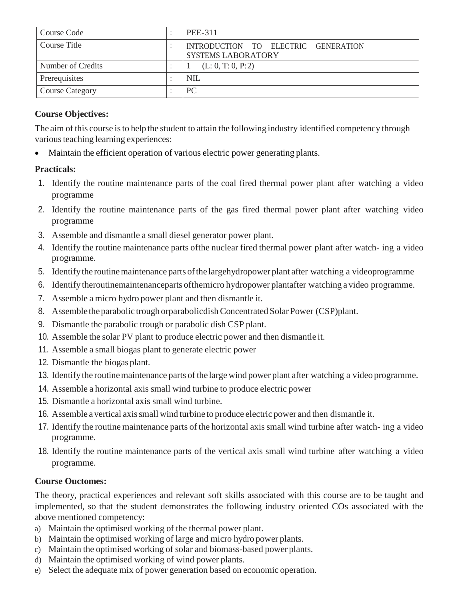| Course Code            | PEE-311                                                          |
|------------------------|------------------------------------------------------------------|
| Course Title           | INTRODUCTION TO ELECTRIC GENERATION<br><b>SYSTEMS LABORATORY</b> |
| Number of Credits      | (L: 0, T: 0, P: 2)                                               |
| Prerequisites          | <b>NIL</b>                                                       |
| <b>Course Category</b> | <sub>PC</sub>                                                    |

The aim of this course isto help the student to attain the following industry identified competency through various teaching learning experiences:

Maintain the efficient operation of various electric power generating plants.

#### **Practicals:**

- 1. Identify the routine maintenance parts of the coal fired thermal power plant after watching a video programme
- 2. Identify the routine maintenance parts of the gas fired thermal power plant after watching video programme
- 3. Assemble and dismantle a small diesel generator power plant.
- 4. Identify the routine maintenance parts ofthe nuclear fired thermal power plant after watch- ing a video programme.
- 5. Identifythe routinemaintenance parts ofthe largehydropower plant after watching a videoprogramme
- 6. Identify theroutinemaintenanceparts ofthemicro hydropower plantafter watching a video programme.
- 7. Assemble a micro hydro power plant and then dismantle it.
- 8. Assemble the parabolic trough orparabolicdish Concentrated Solar Power (CSP) plant.
- 9. Dismantle the parabolic trough or parabolic dish CSP plant.
- 10. Assemble the solar PV plant to produce electric power and then dismantle it.
- 11. Assemble a small biogas plant to generate electric power
- 12. Dismantle the biogas plant.
- 13. Identify the routine maintenance parts of the large wind power plant after watching a video programme.
- 14. Assemble a horizontal axis small wind turbine to produce electric power
- 15. Dismantle a horizontal axis small wind turbine.
- 16. Assemble a vertical axissmall wind turbine to produce electric power and then dismantle it.
- 17. Identify the routine maintenance parts of the horizontal axissmall wind turbine after watch- ing a video programme.
- 18. Identify the routine maintenance parts of the vertical axis small wind turbine after watching a video programme.

#### **Course Ouctomes:**

- a) Maintain the optimised working of the thermal power plant.
- b) Maintain the optimised working of large and micro hydro power plants.
- c) Maintain the optimised working of solar and biomass-based power plants.
- d) Maintain the optimised working of wind power plants.
- e) Select the adequate mix of power generation based on economic operation.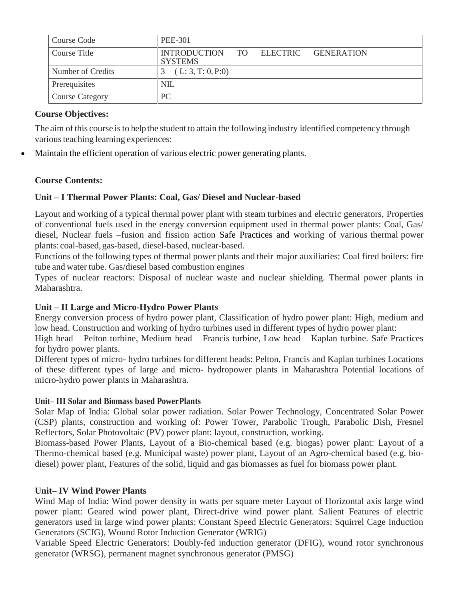| Course Code            | PEE-301                                               |
|------------------------|-------------------------------------------------------|
| Course Title           | INTRODUCTION TO ELECTRIC GENERATION<br><b>SYSTEMS</b> |
| Number of Credits      | (L: 3, T: 0, P: 0)                                    |
| Prerequisites          | <b>NIL</b>                                            |
| <b>Course Category</b> | PC.                                                   |

The aim of this course is to help the student to attain the following industry identified competency through various teaching learning experiences:

Maintain the efficient operation of various electric power generating plants.

#### **Course Contents:**

#### **Unit – I Thermal Power Plants: Coal, Gas/ Diesel and Nuclear-based**

Layout and working of a typical thermal power plant with steam turbines and electric generators, Properties of conventional fuels used in the energy conversion equipment used in thermal power plants: Coal, Gas/ diesel, Nuclear fuels –fusion and fission action Safe Practices and working of various thermal power plants: coal-based, gas-based, diesel-based, nuclear-based.

Functions of the following types of thermal power plants and their major auxiliaries: Coal fired boilers: fire tube and water tube. Gas/diesel based combustion engines

Types of nuclear reactors: Disposal of nuclear waste and nuclear shielding. Thermal power plants in Maharashtra.

#### **Unit – II Large and Micro-Hydro Power Plants**

Energy conversion process of hydro power plant, Classification of hydro power plant: High, medium and low head. Construction and working of hydro turbines used in different types of hydro power plant:

High head – Pelton turbine, Medium head – Francis turbine, Low head – Kaplan turbine. Safe Practices for hydro power plants.

Different types of micro- hydro turbines for different heads: Pelton, Francis and Kaplan turbines Locations of these different types of large and micro- hydropower plants in Maharashtra Potential locations of micro-hydro power plants in Maharashtra.

#### **Unit– III Solar and Biomass based PowerPlants**

Solar Map of India: Global solar power radiation. Solar Power Technology, Concentrated Solar Power (CSP) plants, construction and working of: Power Tower, Parabolic Trough, Parabolic Dish, Fresnel Reflectors, Solar Photovoltaic (PV) power plant: layout, construction, working.

Biomass-based Power Plants, Layout of a Bio-chemical based (e.g. biogas) power plant: Layout of a Thermo-chemical based (e.g. Municipal waste) power plant, Layout of an Agro-chemical based (e.g. biodiesel) power plant, Features of the solid, liquid and gas biomasses as fuel for biomass power plant.

#### **Unit– IV Wind Power Plants**

Wind Map of India: Wind power density in watts per square meter Layout of Horizontal axis large wind power plant: Geared wind power plant, Direct-drive wind power plant. Salient Features of electric generators used in large wind power plants: Constant Speed Electric Generators: Squirrel Cage Induction Generators (SCIG), Wound Rotor Induction Generator (WRIG)

Variable Speed Electric Generators: Doubly-fed induction generator (DFIG), wound rotor synchronous generator (WRSG), permanent magnet synchronous generator (PMSG)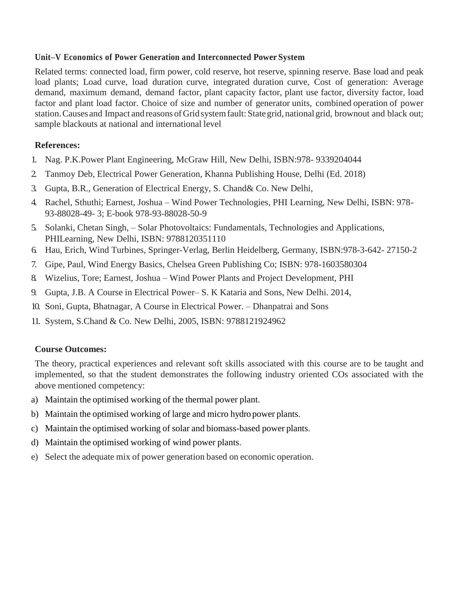#### **Unit–V Economics of Power Generation and Interconnected Power System**

Related terms: connected load, firm power, cold reserve, hot reserve, spinning reserve. Base load and peak load plants; Load curve, load duration curve, integrated duration curve, Cost of generation: Average demand, maximum demand, demand factor, plant capacity factor, plant use factor, diversity factor, load factor and plant load factor. Choice of size and number of generator units, combined operation of power station. Causes and Impact and reasons of Grid system fault: State grid, national grid, brownout and black out; sample blackouts at national and international level

#### **References:**

- 1. Nag. P.K.Power Plant Engineering, McGraw Hill, New Delhi, ISBN:978- 9339204044
- 2. Tanmoy Deb, Electrical Power Generation, Khanna Publishing House, Delhi (Ed. 2018)
- 3. Gupta, B.R., Generation of Electrical Energy, S. Chand& Co. New Delhi,
- 4. Rachel, Sthuthi; Earnest, Joshua Wind Power Technologies, PHI Learning, New Delhi, ISBN: 978- 93-88028-49- 3; E-book 978-93-88028-50-9
- 5. Solanki, Chetan Singh, Solar Photovoltaics: Fundamentals, Technologies and Applications, PHILearning, New Delhi, ISBN: 9788120351110
- 6. Hau, Erich, Wind Turbines, Springer-Verlag, Berlin Heidelberg, Germany, ISBN:978-3-642- 27150-2
- 7. Gipe, Paul, Wind Energy Basics, Chelsea Green Publishing Co; ISBN: 978-1603580304
- 8. Wizelius, Tore; Earnest, Joshua Wind Power Plants and Project Development, PHI
- 9. Gupta, J.B. A Course in Electrical Power– S. K Kataria and Sons, New Delhi. 2014,
- 10. Soni, Gupta, Bhatnagar, A Course in Electrical Power. Dhanpatrai and Sons
- 11. System, S.Chand & Co. New Delhi, 2005, ISBN: 9788121924962

#### **Course Outcomes:**

- a) Maintain the optimised working of the thermal power plant.
- b) Maintain the optimised working of large and micro hydro power plants.
- c) Maintain the optimised working of solar and biomass-based power plants.
- d) Maintain the optimised working of wind power plants.
- e) Select the adequate mix of power generation based on economic operation.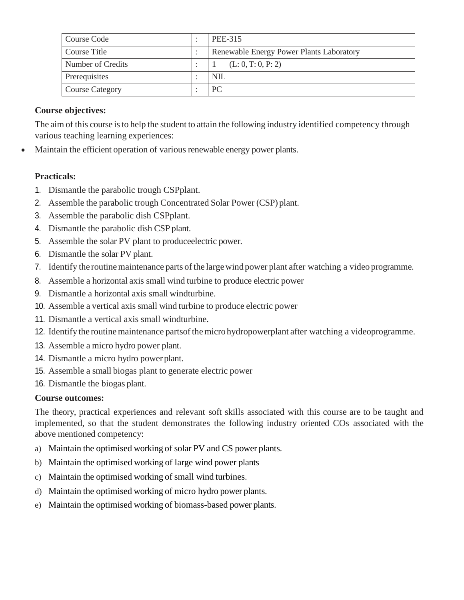| Course Code            | PEE-315                                  |
|------------------------|------------------------------------------|
| Course Title           | Renewable Energy Power Plants Laboratory |
| Number of Credits      | (L: 0, T: 0, P: 2)                       |
| Prerequisites          | NIL                                      |
| <b>Course Category</b> | PC                                       |

The aim of this course is to help the student to attain the following industry identified competency through various teaching learning experiences:

Maintain the efficient operation of various renewable energy power plants.

#### **Practicals:**

- 1. Dismantle the parabolic trough CSPplant.
- 2. Assemble the parabolic trough Concentrated Solar Power (CSP) plant.
- 3. Assemble the parabolic dish CSPplant.
- 4. Dismantle the parabolic dish CSP plant.
- 5. Assemble the solar PV plant to produceelectric power.
- 6. Dismantle the solar PV plant.
- 7. Identify the routine maintenance parts of the large wind power plant after watching a video programme.
- 8. Assemble a horizontal axis small wind turbine to produce electric power
- 9. Dismantle a horizontal axis small windturbine.
- 10. Assemble a vertical axis small wind turbine to produce electric power
- 11. Dismantle a vertical axis small windturbine.
- 12. Identify the routine maintenance parts of the micro hydropowerplant after watching a videoprogramme.
- 13. Assemble a micro hydro power plant.
- 14. Dismantle a micro hydro powerplant.
- 15. Assemble a small biogas plant to generate electric power
- 16. Dismantle the biogas plant.

#### **Course outcomes:**

- a) Maintain the optimised working of solar PV and CS power plants.
- b) Maintain the optimised working of large wind power plants
- c) Maintain the optimised working of small wind turbines.
- d) Maintain the optimised working of micro hydro power plants.
- e) Maintain the optimised working of biomass-based power plants.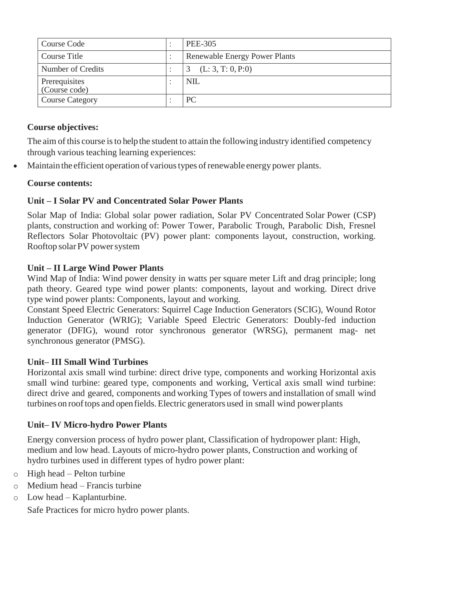| Course Code                    | <b>PEE-305</b>                       |
|--------------------------------|--------------------------------------|
| Course Title                   | <b>Renewable Energy Power Plants</b> |
| Number of Credits              | (L: 3, T: 0, P: 0)                   |
| Prerequisites<br>(Course code) | <b>NIL</b>                           |
| <b>Course Category</b>         | PC                                   |

The aim of this course is to help the student to attain the following industry identified competency through various teaching learning experiences:

Maintain the efficient operation of various types of renewable energy power plants.

#### **Course contents:**

#### **Unit – I Solar PV and Concentrated Solar Power Plants**

Solar Map of India: Global solar power radiation, Solar PV Concentrated Solar Power (CSP) plants, construction and working of: Power Tower, Parabolic Trough, Parabolic Dish, Fresnel Reflectors Solar Photovoltaic (PV) power plant: components layout, construction, working. Rooftop solarPV powersystem

#### **Unit – II Large Wind Power Plants**

Wind Map of India: Wind power density in watts per square meter Lift and drag principle; long path theory. Geared type wind power plants: components, layout and working. Direct drive type wind power plants: Components, layout and working.

Constant Speed Electric Generators: Squirrel Cage Induction Generators (SCIG), Wound Rotor Induction Generator (WRIG); Variable Speed Electric Generators: Doubly-fed induction generator (DFIG), wound rotor synchronous generator (WRSG), permanent mag- net synchronous generator (PMSG).

#### **Unit– III Small Wind Turbines**

Horizontal axis small wind turbine: direct drive type, components and working Horizontal axis small wind turbine: geared type, components and working, Vertical axis small wind turbine: direct drive and geared, components and working Types of towers and installation of small wind turbines on rooftops and openfields.Electric generators used in small wind powerplants

#### **Unit– IV Micro-hydro Power Plants**

Energy conversion process of hydro power plant, Classification of hydropower plant: High, medium and low head. Layouts of micro-hydro power plants, Construction and working of hydro turbines used in different types of hydro power plant:

- o High head Pelton turbine
- o Medium head Francis turbine
- o Low head Kaplanturbine.

Safe Practices for micro hydro power plants.